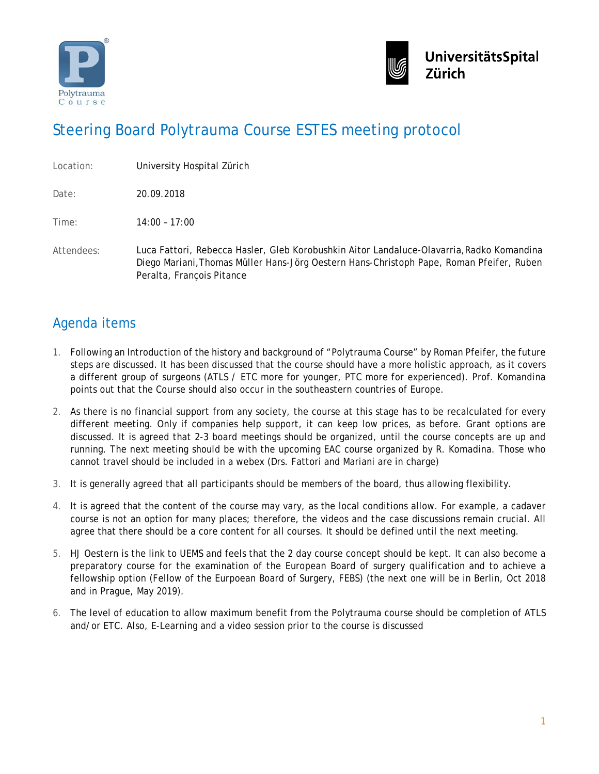



## Steering Board Polytrauma Course ESTES meeting protocol

| Location: | University Hospital Zürich |  |
|-----------|----------------------------|--|
|           |                            |  |

Date: 20.09.2018

Time: 14:00 – 17:00

Attendees: Luca Fattori, Rebecca Hasler, Gleb Korobushkin Aitor Landaluce-Olavarria,Radko Komandina Diego Mariani,Thomas Müller Hans-Jörg Oestern Hans-Christoph Pape, Roman Pfeifer, Ruben Peralta, François Pitance

## Agenda items

- 1. Following an Introduction of the history and background of "Polytrauma Course" by Roman Pfeifer, the future steps are discussed. It has been discussed that the course should have a more holistic approach, as it covers a different group of surgeons (ATLS / ETC more for younger, PTC more for experienced). Prof. Komandina points out that the Course should also occur in the southeastern countries of Europe.
- 2. As there is no financial support from any society, the course at this stage has to be recalculated for every different meeting. Only if companies help support, it can keep low prices, as before. Grant options are discussed. It is agreed that 2-3 board meetings should be organized, until the course concepts are up and running. The next meeting should be with the upcoming EAC course organized by R. Komadina. Those who cannot travel should be included in a webex (Drs. Fattori and Mariani are in charge)
- 3. It is generally agreed that all participants should be members of the board, thus allowing flexibility.
- 4. It is agreed that the content of the course may vary, as the local conditions allow. For example, a cadaver course is not an option for many places; therefore, the videos and the case discussions remain crucial. All agree that there should be a core content for all courses. It should be defined until the next meeting.
- 5. HJ Oestern is the link to UEMS and feels that the 2 day course concept should be kept. It can also become a preparatory course for the examination of the European Board of surgery qualification and to achieve a fellowship option (Fellow of the Eurpoean Board of Surgery, FEBS) (the next one will be in Berlin, Oct 2018 and in Prague, May 2019).
- 6. The level of education to allow maximum benefit from the Polytrauma course should be completion of ATLS and/or ETC. Also, E-Learning and a video session prior to the course is discussed